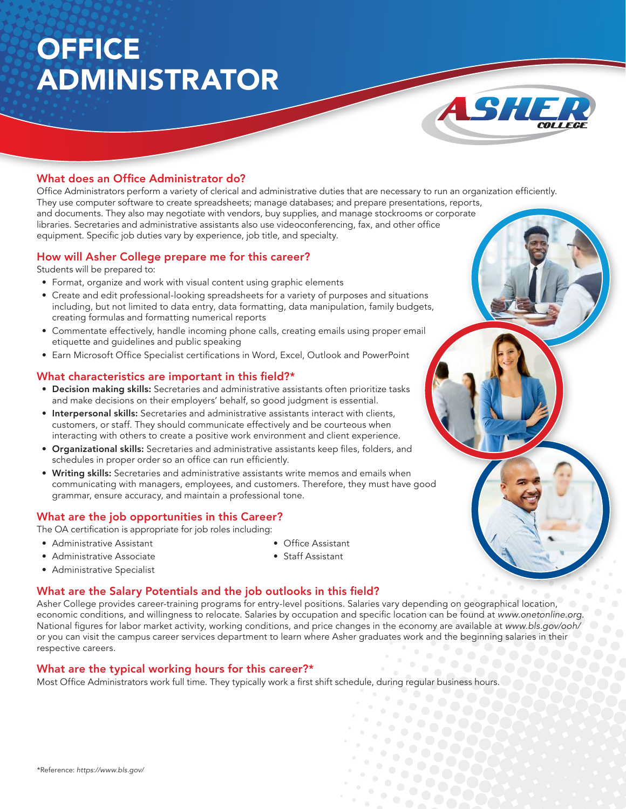# **OFFICE** ADMINISTRATOR



### What does an Office Administrator do?

Office Administrators perform a variety of clerical and administrative duties that are necessary to run an organization efficiently. They use computer software to create spreadsheets; manage databases; and prepare presentations, reports, and documents. They also may negotiate with vendors, buy supplies, and manage stockrooms or corporate libraries. Secretaries and administrative assistants also use videoconferencing, fax, and other office equipment. Specific job duties vary by experience, job title, and specialty.

#### How will Asher College prepare me for this career?

Students will be prepared to:

- Format, organize and work with visual content using graphic elements
- Create and edit professional-looking spreadsheets for a variety of purposes and situations including, but not limited to data entry, data formatting, data manipulation, family budgets, creating formulas and formatting numerical reports
- Commentate effectively, handle incoming phone calls, creating emails using proper email etiquette and guidelines and public speaking
- Earn Microsoft Office Specialist certifications in Word, Excel, Outlook and PowerPoint

#### What characteristics are important in this field?\*

- Decision making skills: Secretaries and administrative assistants often prioritize tasks and make decisions on their employers' behalf, so good judgment is essential.
- Interpersonal skills: Secretaries and administrative assistants interact with clients, customers, or staff. They should communicate effectively and be courteous when interacting with others to create a positive work environment and client experience.
- Organizational skills: Secretaries and administrative assistants keep files, folders, and schedules in proper order so an office can run efficiently.
- Writing skills: Secretaries and administrative assistants write memos and emails when communicating with managers, employees, and customers. Therefore, they must have good grammar, ensure accuracy, and maintain a professional tone.

#### What are the job opportunities in this Career?

The OA certification is appropriate for job roles including:

- Administrative Assistant
- Administrative Associate
- Staff Assistant

- Administrative Specialist
- What are the Salary Potentials and the job outlooks in this field?

Asher College provides career-training programs for entry-level positions. Salaries vary depending on geographical location, economic conditions, and willingness to relocate. Salaries by occupation and specific location can be found at www.onetonline.org. National figures for labor market activity, working conditions, and price changes in the economy are available at www.bls.gov/ooh/ or you can visit the campus career services department to learn where Asher graduates work and the beginning salaries in their respective careers.

• Office Assistant

#### What are the typical working hours for this career?\*

Most Office Administrators work full time. They typically work a first shift schedule, during regular business hours.